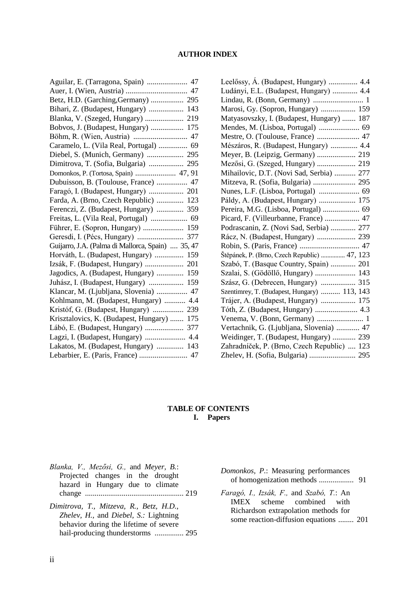#### **AUTHOR INDEX**

| Aguilar, E. (Tarragona, Spain)  47                |     |
|---------------------------------------------------|-----|
|                                                   |     |
| Betz, H.D. (Garching, Germany)  295               |     |
| Bihari, Z. (Budapest, Hungary)  143               |     |
|                                                   |     |
| Bobvos, J. (Budapest, Hungary)  175               |     |
|                                                   | 47  |
| Caramelo, L. (Vila Real, Portugal)  69            |     |
| Diebel, S. (Munich, Germany)  295                 |     |
| Dimitrova, T. (Sofia, Bulgaria)                   | 295 |
| Domonkos, P. (Tortosa, Spain)  47, 91             |     |
| Dubuisson, B. (Toulouse, France)  47              |     |
|                                                   |     |
| Farda, A. (Brno, Czech Republic)  123             |     |
| Ferenczi, Z. (Budapest, Hungary)  359             |     |
|                                                   |     |
| Führer, E. (Sopron, Hungary)  159                 |     |
|                                                   | 377 |
| Guijarro, J.A. (Palma di Mallorca, Spain)  35, 47 |     |
| Horváth, L. (Budapest, Hungary)                   | 159 |
|                                                   |     |
| Jagodics, A. (Budapest, Hungary)  159             |     |
| Juhász, I. (Budapest, Hungary)                    | 159 |
| Klancar, M. (Ljubljana, Slovenia)                 | 47  |
| Kohlmann, M. (Budapest, Hungary)                  | 4.4 |
| Kristóf, G. (Budapest, Hungary)                   | 239 |
| Krisztalovics, K. (Budapest, Hungary)             | 175 |
| Lábó, E. (Budapest, Hungary)                      | 377 |
|                                                   | 4.4 |
| Lakatos, M. (Budapest, Hungary)  143              |     |
|                                                   |     |
|                                                   |     |

| Leelőssy, A. (Budapest, Hungary)  4.4        |  |
|----------------------------------------------|--|
| Ludányi, E.L. (Budapest, Hungary)  4.4       |  |
|                                              |  |
| Marosi, Gy. (Sopron, Hungary)  159           |  |
| Matyasovszky, I. (Budapest, Hungary)  187    |  |
| Mendes, M. (Lisboa, Portugal)  69            |  |
|                                              |  |
| Mészáros, R. (Budapest, Hungary)  4.4        |  |
| Meyer, B. (Leipzig, Germany)  219            |  |
|                                              |  |
| Mihailovic, D.T. (Novi Sad, Serbia)  277     |  |
|                                              |  |
|                                              |  |
| Páldy, A. (Budapest, Hungary)  175           |  |
| Pereira, M.G. (Lisboa, Portugal)  69         |  |
| Picard, F. (Villeurbanne, France)  47        |  |
| Podrascanin, Z. (Novi Sad, Serbia)  277      |  |
| Rácz, N. (Budapest, Hungary)  239            |  |
|                                              |  |
| Štěpánek, P. (Brno, Czech Republic)  47, 123 |  |
| Szabó, T. (Basque Country, Spain)  201       |  |
| Szalai, S. (Gödöllő, Hungary)  143           |  |
|                                              |  |
| Szentimrey, T. (Budapest, Hungary)  113, 143 |  |
| Trájer, A. (Budapest, Hungary)  175          |  |
|                                              |  |
| Venema, V. (Bonn, Germany)  1                |  |
| Vertachnik, G. (Ljubljana, Slovenia)  47     |  |
| Weidinger, T. (Budapest, Hungary)  239       |  |
| Zahradníček, P. (Brno, Czech Republic)  123  |  |
| Zhelev, H. (Sofia, Bulgaria)  295            |  |

#### **TABLE OF CONTENTS I. Papers**

- *Blanka, V., Mezősi, G.,* and *Meyer, B.*: Projected changes in the drought hazard in Hungary due to climate change ................................................... 219
- *Dimitrova, T., Mitzeva, R., Betz, H.D., Zhelev, H.,* and *Diebel, S.:* Lightning behavior during the lifetime of severe hail-producing thunderstorms ................ 295
- *Domonkos, P.*: Measuring performances of homogenization methods .................. 91
- *Faragó, I., Izsák, F.,* and *Szabó, T.*: An IMEX scheme combined with Richardson extrapolation methods for some reaction-diffusion equations ........ 201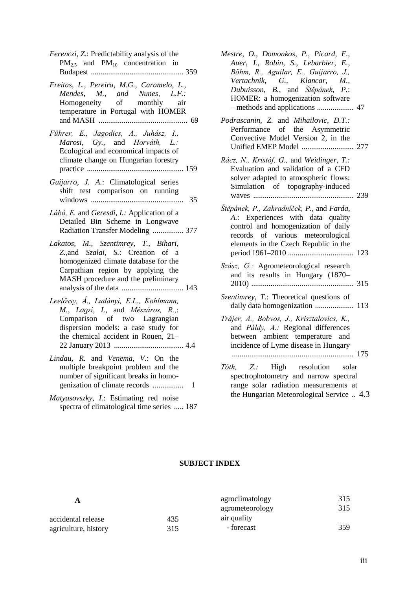- *Ferenczi, Z.*: Predictability analysis of the  $PM_{2.5}$  and  $PM_{10}$  concentration in Budapest ................................................ 359
- *Freitas, L., Pereira, M.G., Caramelo, L., Mendes, M., and Nunes, L.F.:*  Homogeneity of monthly air temperature in Portugal with HOMER and MASH .............................................. 69
- *Führer, E., Jagodics, A., Juhász, I., Marosi, Gy.,* and *Horváth, L.:*  Ecological and economical impacts of climate change on Hungarian forestry practice .................................................. 159
- *Guijarro, J. A.*: Climatological series shift test comparison on running windows ................................................ 35
- *Lábó, E.* and *Geresdi, I.:* Application of a Detailed Bin Scheme in Longwave Radiation Transfer Modeling ................ 377
- *Lakatos, M., Szentimrey, T., Bihari, Z.,*and *Szalai, S.*: Creation of a homogenized climate database for the Carpathian region by applying the MASH procedure and the preliminary analysis of the data ................................ 143
- *Leelőssy, Á., Ludányi, E.L., Kohlmann, M., Lagzi, I.,* and *Mészáros, R.,*: Comparison of two Lagrangian dispersion models: a case study for the chemical accident in Rouen, 21**–** 22 January 2013 .................................... 4.4
- *Lindau, R.* and *Venema, V.*: On the multiple breakpoint problem and the number of significant breaks in homogenization of climate records ................ 1
- *Matyasovszky, I.*: Estimating red noise spectra of climatological time series ..... 187
- *Mestre, O., Domonkos, P., Picard, F., Auer, I., Robin, S., Lebarbier, E., Böhm, R., Aguilar, E., Guijarro, J., Vertachnik, G., Klancar, M., Dubuisson, B.,* and *Štěpánek, P.*: HOMER: a homogenization software – methods and applications ................... 47
- *Podrascanin, Z.* and *Mihailovic, D.T.:*  Performance of the Asymmetric Convective Model Version 2, in the Unified EMEP Model ........................... 277
- *Rácz, N., Kristóf, G.,* and *Weidinger, T.:*  Evaluation and validation of a CFD solver adapted to atmospheric flows: Simulation of topography-induced waves .................................................... 239
- *Štěpánek, P., Zahradníček, P.,* and *Farda, A.*: Experiences with data quality control and homogenization of daily records of various meteorological elements in the Czech Republic in the period 1961–2010 .................................. 123
- *Szász, G.:* Agrometeorological research and its results in Hungary (1870– 2010) ..................................................... 315
- *Szentimrey, T.*: Theoretical questions of daily data homogenization .................... 113
- *Trájer, A., Bobvos, J., Krisztalovics, K.,*  and *Páldy, A.:* Regional differences between ambient temperature and incidence of Lyme disease in Hungary ............................................................... 175
- *Tóth, Z.:* High resolution solar spectrophotometry and narrow spectral range solar radiation measurements at the Hungarian Meteorological Service .. 4.3

#### **SUBJECT INDEX**

| A                    |     | agroclimatology | 315 |
|----------------------|-----|-----------------|-----|
|                      |     | agrometeorology | 315 |
| accidental release   | 435 | air quality     |     |
| agriculture, history | 315 | - forecast      | 359 |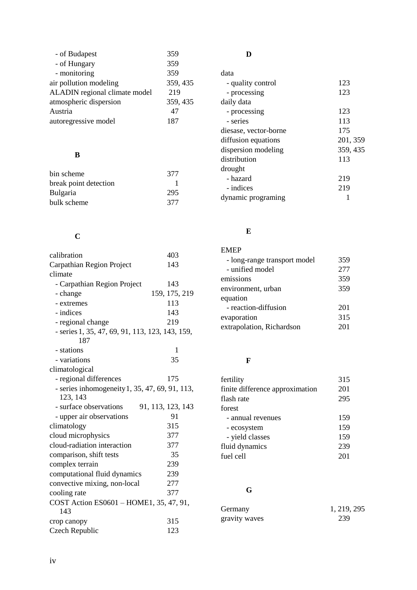| - of Budapest                 | 359      |
|-------------------------------|----------|
| - of Hungary                  | 359      |
| - monitoring                  | 359      |
| air pollution modeling        | 359, 435 |
| ALADIN regional climate model | 219      |
| atmospheric dispersion        | 359, 435 |
| Austria                       | 47       |
| autoregressive model          | 187      |

## **B**

| bin scheme            | 377 |
|-----------------------|-----|
| break point detection |     |
| <b>Bulgaria</b>       | 295 |
| bulk scheme           | 377 |

# **C**

| calibration                                     | 403               |
|-------------------------------------------------|-------------------|
| Carpathian Region Project                       | 143               |
| climate                                         |                   |
| - Carpathian Region Project                     | 143               |
| - change                                        | 159, 175, 219     |
| - extremes                                      | 113               |
| - indices                                       | 143               |
| - regional change                               | 219               |
| - series 1, 35, 47, 69, 91, 113, 123, 143, 159, |                   |
| 187                                             |                   |
| - stations                                      | 1                 |
| - variations                                    | 35                |
| climatological                                  |                   |
| - regional differences                          | 175               |
| - series inhomogeneity 1, 35, 47, 69, 91, 113,  |                   |
| 123, 143                                        |                   |
| - surface observations                          | 91, 113, 123, 143 |
| - upper air observations                        | 91                |
| climatology                                     | 315               |
| cloud microphysics                              | 377               |
| cloud-radiation interaction                     | 377               |
| comparison, shift tests                         | 35                |
| complex terrain                                 | 239               |
| computational fluid dynamics                    | 239               |
| convective mixing, non-local                    | 277               |
| cooling rate                                    | 377               |
| COST Action ES0601 - HOME1, 35, 47, 91,         |                   |
| 143                                             |                   |
| crop canopy                                     | 315               |
| <b>Czech Republic</b>                           | 123               |
|                                                 |                   |

## **D**

| data                  |          |
|-----------------------|----------|
| - quality control     | 123      |
| - processing          | 123      |
| daily data            |          |
| - processing          | 123      |
| - series              | 113      |
| diesase, vector-borne | 175      |
| diffusion equations   | 201, 359 |
| dispersion modeling   | 359, 435 |
| distribution          | 113      |
| drought               |          |
| - hazard              | 219      |
| - indices             | 219      |
| dynamic programing    |          |

### **E**

| <b>EMEP</b>                  |     |
|------------------------------|-----|
| - long-range transport model | 359 |
| - unified model              | 277 |
| emissions                    | 359 |
| environment, urban           | 359 |
| equation                     |     |
| - reaction-diffusion         | 201 |
| evaporation                  | 315 |
| extrapolation, Richardson    | 201 |

## **F**

| fertility                       | 315 |
|---------------------------------|-----|
| finite difference approximation | 201 |
| flash rate                      | 295 |
| forest                          |     |
| - annual revenues               | 159 |
| - ecosystem                     | 159 |
| - yield classes                 | 159 |
| fluid dynamics                  | 239 |
| fuel cell                       | 201 |
|                                 |     |

## **G**

| Germany       | 1, 219, 295 |
|---------------|-------------|
| gravity waves | 239         |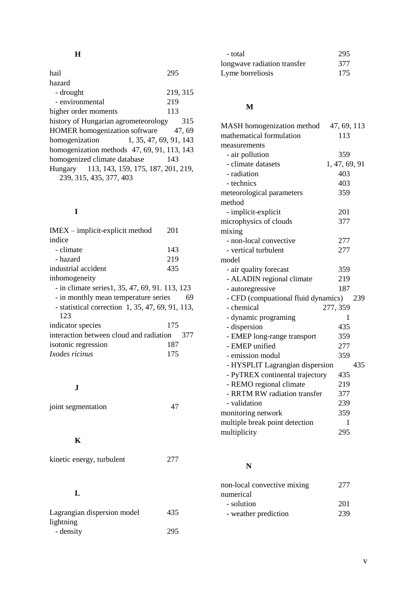## **H**

| hail                                          | 295      |
|-----------------------------------------------|----------|
| hazard                                        |          |
| - drought                                     | 219, 315 |
| - environmental                               | 219      |
| higher order moments                          | 113      |
| history of Hungarian agrometeorology          | 315      |
| <b>HOMER</b> homogenization software          | 47.69    |
| 1, 35, 47, 69, 91, 143<br>homogenization      |          |
| homogenization methods $47, 69, 91, 113, 143$ |          |
| homogenized climate database                  | 143      |
| Hungary 113, 143, 159, 175, 187, 201, 219,    |          |
| 239, 315, 435, 377, 403                       |          |

## **I**

| $IMEX$ – implicit-explicit method                       | 201 |
|---------------------------------------------------------|-----|
| indice                                                  |     |
| - climate                                               | 143 |
| - hazard                                                | 219 |
| industrial accident                                     | 435 |
| inhomogeneity                                           |     |
| - in climate series 1, 35, 47, 69, 91, 113, 123         |     |
|                                                         |     |
| - in monthly mean temperature series                    | 69  |
| - statistical correction 1, 35, 47, 69, 91, 113,<br>123 |     |
| indicator species                                       | 175 |
| interaction between cloud and radiation                 | 377 |
| isotonic regression                                     | 187 |

### **J**

| joint segmentation | 47 |
|--------------------|----|
|                    |    |

## **K**

| kinetic energy, turbulent | 277 |
|---------------------------|-----|
|---------------------------|-----|

### **L**

| Lagrangian dispersion model | 435 |
|-----------------------------|-----|
| lightning                   |     |
| - density                   | 295 |

| - total                     | 295 |
|-----------------------------|-----|
| longwave radiation transfer | 377 |
| Lyme borreliosis            | 175 |

## **M**

| MASH homogenization method          | 47, 69, 113   |
|-------------------------------------|---------------|
| mathematical formulation            | 113           |
| measurements                        |               |
| - air pollution                     | 359           |
| - climate datasets                  | 1, 47, 69, 91 |
| - radiation                         | 403           |
| - technics                          | 403           |
| meteorological parameters           | 359           |
| method                              |               |
| - implicit-explicit                 | 201           |
| microphysics of clouds              | 377           |
| mixing                              |               |
| - non-local convective              | 277           |
| - vertical turbulent                | 277           |
| model                               |               |
| - air quality forecast              | 359           |
| - ALADIN regional climate           | 219           |
| - autoregressive                    | 187           |
| - CFD (compuational fluid dynamics) | 239           |
| - chemical                          | 277, 359      |
| - dynamic programing                | 1             |
| - dispersion                        | 435           |
| - EMEP long-range transport         | 359           |
| - EMEP unified                      | 277           |
| - emission modul                    | 359           |
| - HYSPLIT Lagrangian dispersion     | 435           |
| - PyTREX continental trajectory     | 435           |
| - REMO regional climate             | 219           |
| - RRTM RW radiation transfer        | 377           |
| - validation                        | 239           |
| monitoring network                  | 359           |
| multiple break point detection      | 1             |
| multiplicity                        | 295           |

## **N**

| non-local convective mixing | 277 |  |
|-----------------------------|-----|--|
| numerical                   |     |  |
| - solution                  | 201 |  |
| - weather prediction        | 239 |  |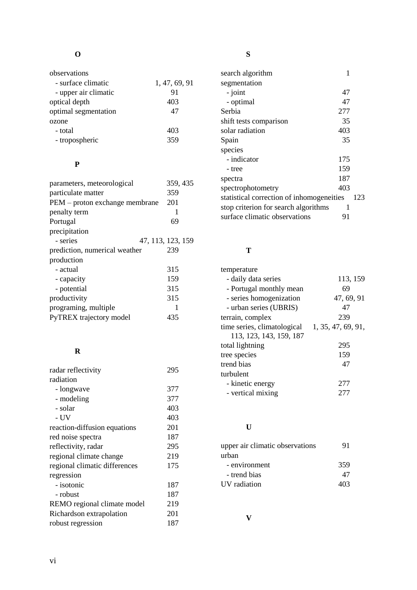| observations         |               |
|----------------------|---------------|
| - surface climatic   | 1, 47, 69, 91 |
| - upper air climatic | 91            |
| optical depth        | 403           |
| optimal segmentation | 47            |
| ozone                |               |
| - total              | 403           |
| - tropospheric       | 359           |

### **P**

| parameters, meteorological     | 359, 435          |
|--------------------------------|-------------------|
| particulate matter             | 359               |
| PEM – proton exchange membrane | 201               |
| penalty term                   | 1                 |
| Portugal                       | 69                |
| precipitation                  |                   |
| - series                       | 47, 113, 123, 159 |
| prediction, numerical weather  | 239               |
| production                     |                   |
| - actual                       | 315               |
| - capacity                     | 159               |
| - potential                    | 315               |
| productivity                   | 315               |
| programing, multiple           | 1                 |
| PyTREX trajectory model        | 435               |
|                                |                   |

## **R**

| radar reflectivity            | 295 |
|-------------------------------|-----|
| radiation                     |     |
| - longwave                    | 377 |
| - modeling                    | 377 |
| - solar                       | 403 |
| - UV                          | 403 |
| reaction-diffusion equations  | 201 |
| red noise spectra             | 187 |
| reflectivity, radar           | 295 |
| regional climate change       | 219 |
| regional climatic differences | 175 |
| regression                    |     |
| - isotonic                    | 187 |
| - robust                      | 187 |
| REMO regional climate model   | 219 |
| Richardson extrapolation      | 201 |
| robust regression             | 187 |

# **S**

| search algorithm                          | 1   |     |
|-------------------------------------------|-----|-----|
| segmentation                              |     |     |
| - joint                                   | 47  |     |
| - optimal                                 | 47  |     |
| Serbia                                    | 277 |     |
| shift tests comparison                    | 35  |     |
| solar radiation                           | 403 |     |
| Spain                                     | 35  |     |
| species                                   |     |     |
| - indicator                               | 175 |     |
| - tree                                    | 159 |     |
| spectra                                   | 187 |     |
| spectrophotometry                         | 403 |     |
| statistical correction of inhomogeneities |     | 123 |
| stop criterion for search algorithms      | 1   |     |
| surface climatic observations             | 91  |     |
|                                           |     |     |

### **T**

| temperature                 |                    |
|-----------------------------|--------------------|
| - daily data series         | 113, 159           |
| - Portugal monthly mean     | 69                 |
| - series homogenization     | 47, 69, 91         |
| - urban series (UBRIS)      | 47                 |
| terrain, complex            | 239                |
| time series, climatological | 1, 35, 47, 69, 91, |
| 113, 123, 143, 159, 187     |                    |
| total lightning             | 295                |
| tree species                | 159                |
| trend bias                  | 47                 |
| turbulent                   |                    |
| - kinetic energy            | 277                |
| - vertical mixing           | 27                 |

### **U**

| upper air climatic observations<br>urban | 91  |
|------------------------------------------|-----|
| - environment                            | 359 |
| - trend bias                             | 47  |
| UV radiation                             | 403 |